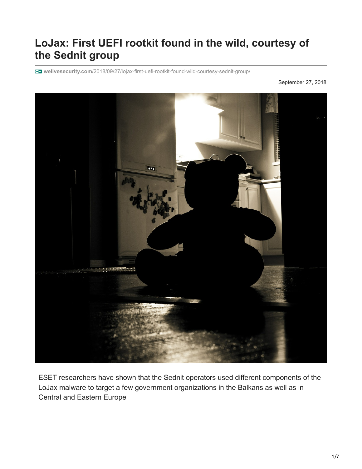# **LoJax: First UEFI rootkit found in the wild, courtesy of the Sednit group**

**welivesecurity.com**[/2018/09/27/lojax-first-uefi-rootkit-found-wild-courtesy-sednit-group/](https://www.welivesecurity.com/2018/09/27/lojax-first-uefi-rootkit-found-wild-courtesy-sednit-group/)

September 27, 2018



ESET researchers have shown that the Sednit operators used different components of the LoJax malware to target a few government organizations in the Balkans as well as in Central and Eastern Europe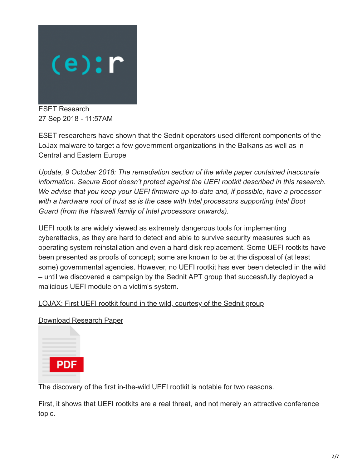

[ESET Research](https://www.welivesecurity.com/author/esetresearch/) 27 Sep 2018 - 11:57AM

ESET researchers have shown that the Sednit operators used different components of the LoJax malware to target a few government organizations in the Balkans as well as in Central and Eastern Europe

*Update, 9 October 2018: The remediation section of the white paper contained inaccurate information. Secure Boot doesn't protect against the UEFI rootkit described in this research. We advise that you keep your UEFI firmware up-to-date and, if possible, have a processor with a hardware root of trust as is the case with Intel processors supporting Intel Boot Guard (from the Haswell family of Intel processors onwards).*

UEFI rootkits are widely viewed as extremely dangerous tools for implementing cyberattacks, as they are hard to detect and able to survive security measures such as operating system reinstallation and even a hard disk replacement. Some UEFI rootkits have been presented as proofs of concept; some are known to be at the disposal of (at least some) governmental agencies. However, no UEFI rootkit has ever been detected in the wild – until we discovered a campaign by the Sednit APT group that successfully deployed a malicious UEFI module on a victim's system.

#### [LOJAX: First UEFI rootkit found in the wild, courtesy of the Sednit group](https://www.welivesecurity.com/wp-content/uploads/2018/09/ESET-LoJax.pdf)

[Download Research Paper](https://www.welivesecurity.com/wp-content/uploads/2018/09/ESET-LoJax.pdf)



The discovery of the first in-the-wild UEFI rootkit is notable for two reasons.

First, it shows that UEFI rootkits are a real threat, and not merely an attractive conference topic.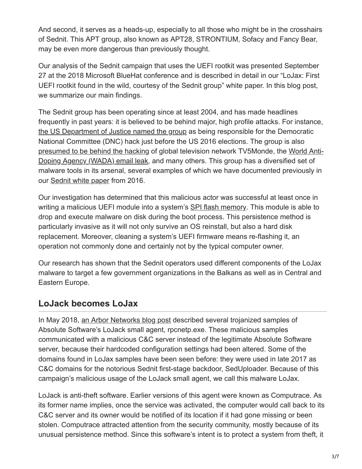And second, it serves as a heads-up, especially to all those who might be in the crosshairs of Sednit. This APT group, also known as APT28, STRONTIUM, Sofacy and Fancy Bear, may be even more dangerous than previously thought.

Our analysis of the Sednit campaign that uses the UEFI rootkit was presented September 27 at the 2018 Microsoft BlueHat conference and is described in detail in our "LoJax: First UEFI rootkit found in the wild, courtesy of the Sednit group" white paper. In this blog post, we summarize our main findings.

The Sednit group has been operating since at least 2004, and has made headlines frequently in past years: it is believed to be behind major, high profile attacks. For instance, [the US Department of Justice named the group](https://assets.documentcloud.org/documents/4598895/DOJ-Russia-DNC-Hack-Indictment.pdf) as being responsible for the Democratic National Committee (DNC) hack just before the US 2016 elections. The group is also [presumed to be behind the hacking](https://www.bbc.com/news/technology-37590375) [of global television network TV5Monde, the World Anti-](https://www.wired.com/story/russian-fancy-bears-hackers-release-apparent-ioc-emails/)Doping Agency (WADA) email leak, and many others. This group has a diversified set of malware tools in its arsenal, several examples of which we have documented previously in our [Sednit white paper](http://www.welivesecurity.com/wp-content/uploads/2016/10/eset-sednit-full.pdf) from 2016.

Our investigation has determined that this malicious actor was successful at least once in writing a malicious UEFI module into a system's [SPI flash memory.](https://en.wikipedia.org/wiki/Flash_memory) This module is able to drop and execute malware on disk during the boot process. This persistence method is particularly invasive as it will not only survive an OS reinstall, but also a hard disk replacement. Moreover, cleaning a system's UEFI firmware means re-flashing it, an operation not commonly done and certainly not by the typical computer owner.

Our research has shown that the Sednit operators used different components of the LoJax malware to target a few government organizations in the Balkans as well as in Central and Eastern Europe.

#### **LoJack becomes LoJax**

In May 2018, [an Arbor Networks blog post](https://asert.arbornetworks.com/lojack-becomes-a-double-agent/) described several trojanized samples of Absolute Software's LoJack small agent, rpcnetp.exe. These malicious samples communicated with a malicious C&C server instead of the legitimate Absolute Software server, because their hardcoded configuration settings had been altered. Some of the domains found in LoJax samples have been seen before: they were used in late 2017 as C&C domains for the notorious Sednit first-stage backdoor, SedUploader. Because of this campaign's malicious usage of the LoJack small agent, we call this malware LoJax.

LoJack is anti-theft software. Earlier versions of this agent were known as Computrace. As its former name implies, once the service was activated, the computer would call back to its C&C server and its owner would be notified of its location if it had gone missing or been stolen. Computrace attracted attention from the security community, mostly because of its unusual persistence method. Since this software's intent is to protect a system from theft, it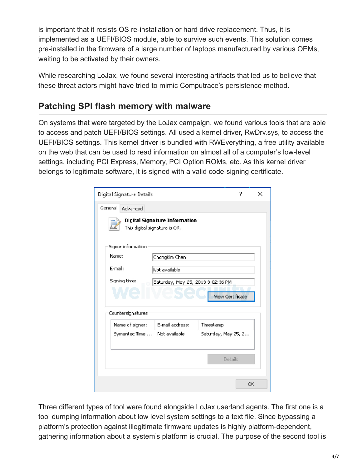is important that it resists OS re-installation or hard drive replacement. Thus, it is implemented as a UEFI/BIOS module, able to survive such events. This solution comes pre-installed in the firmware of a large number of laptops manufactured by various OEMs, waiting to be activated by their owners.

While researching LoJax, we found several interesting artifacts that led us to believe that these threat actors might have tried to mimic Computrace's persistence method.

#### **Patching SPI flash memory with malware**

On systems that were targeted by the LoJax campaign, we found various tools that are able to access and patch UEFI/BIOS settings. All used a kernel driver, RwDrv.sys, to access the UEFI/BIOS settings. This kernel driver is bundled with RWEverything, a free utility available on the web that can be used to read information on almost all of a computer's low-level settings, including PCI Express, Memory, PCI Option ROMs, etc. As this kernel driver belongs to legitimate software, it is signed with a valid code-signing certificate.

| Digital Signature Details<br>7                                 |                                                    |                 |                     |    | $\mathbf{x}$ |
|----------------------------------------------------------------|----------------------------------------------------|-----------------|---------------------|----|--------------|
| General<br><b>Advanced</b>                                     |                                                    |                 |                     |    |              |
| Digital Signature Information<br>This digital signature is OK. |                                                    |                 |                     |    |              |
| Signer information                                             |                                                    |                 |                     |    |              |
|                                                                | Name:<br>ChongKim Chan                             |                 |                     |    |              |
|                                                                | E-mail:<br>Not available                           |                 |                     |    |              |
|                                                                | Signing time:<br>Saturday, May 25, 2013 3:02:36 PM |                 |                     |    |              |
|                                                                | <b>View Certificate</b>                            |                 |                     |    |              |
| Countersignatures                                              |                                                    |                 |                     |    |              |
|                                                                | Name of signer:                                    | E-mail address: | Timestamp           |    |              |
|                                                                | Symantec Time  Not available                       |                 | Saturday, May 25, 2 |    |              |
|                                                                |                                                    |                 |                     |    |              |
|                                                                |                                                    |                 | Details             |    |              |
|                                                                |                                                    |                 |                     |    |              |
|                                                                |                                                    |                 |                     | OK |              |

Three different types of tool were found alongside LoJax userland agents. The first one is a tool dumping information about low level system settings to a text file. Since bypassing a platform's protection against illegitimate firmware updates is highly platform-dependent, gathering information about a system's platform is crucial. The purpose of the second tool is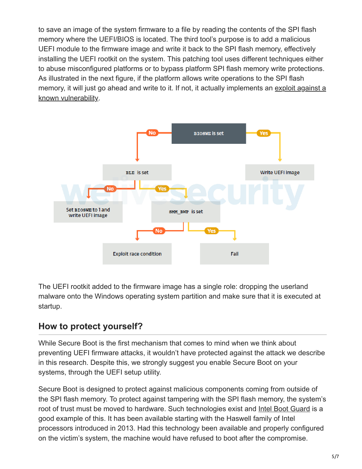to save an image of the system firmware to a file by reading the contents of the SPI flash memory where the UEFI/BIOS is located. The third tool's purpose is to add a malicious UEFI module to the firmware image and write it back to the SPI flash memory, effectively installing the UEFI rootkit on the system. This patching tool uses different techniques either to abuse misconfigured platforms or to bypass platform SPI flash memory write protections. As illustrated in the next figure, if the platform allows write operations to the SPI flash [memory, it will just go ahead and write to it. If not, it actually implements an exploit against a](https://www.kb.cert.org/vuls/id/766164) known vulnerability.



The UEFI rootkit added to the firmware image has a single role: dropping the userland malware onto the Windows operating system partition and make sure that it is executed at startup.

### **How to protect yourself?**

While Secure Boot is the first mechanism that comes to mind when we think about preventing UEFI firmware attacks, it wouldn't have protected against the attack we describe in this research. Despite this, we strongly suggest you enable Secure Boot on your systems, through the UEFI setup utility.

Secure Boot is designed to protect against malicious components coming from outside of the SPI flash memory. To protect against tampering with the SPI flash memory, the system's root of trust must be moved to hardware. Such technologies exist and [Intel Boot Guard](https://www.intel.com/content/dam/www/public/us/en/documents/white-papers/security-technologies-4th-gen-core-retail-paper.pdf) is a good example of this. It has been available starting with the Haswell family of Intel processors introduced in 2013. Had this technology been available and properly configured on the victim's system, the machine would have refused to boot after the compromise.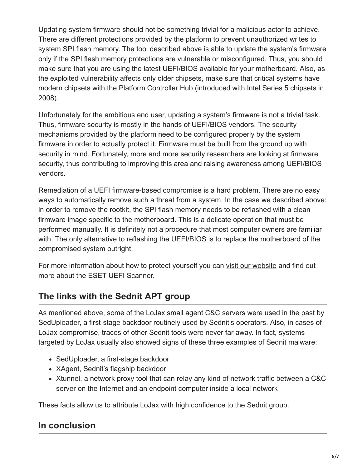Updating system firmware should not be something trivial for a malicious actor to achieve. There are different protections provided by the platform to prevent unauthorized writes to system SPI flash memory. The tool described above is able to update the system's firmware only if the SPI flash memory protections are vulnerable or misconfigured. Thus, you should make sure that you are using the latest UEFI/BIOS available for your motherboard. Also, as the exploited vulnerability affects only older chipsets, make sure that critical systems have modern chipsets with the Platform Controller Hub (introduced with Intel Series 5 chipsets in 2008).

Unfortunately for the ambitious end user, updating a system's firmware is not a trivial task. Thus, firmware security is mostly in the hands of UEFI/BIOS vendors. The security mechanisms provided by the platform need to be configured properly by the system firmware in order to actually protect it. Firmware must be built from the ground up with security in mind. Fortunately, more and more security researchers are looking at firmware security, thus contributing to improving this area and raising awareness among UEFI/BIOS vendors.

Remediation of a UEFI firmware-based compromise is a hard problem. There are no easy ways to automatically remove such a threat from a system. In the case we described above: in order to remove the rootkit, the SPI flash memory needs to be reflashed with a clean firmware image specific to the motherboard. This is a delicate operation that must be performed manually. It is definitely not a procedure that most computer owners are familiar with. The only alternative to reflashing the UEFI/BIOS is to replace the motherboard of the compromised system outright.

For more information about how to protect yourself you can [visit our website](https://www.eset.com/int/uefi-rootkit-cyber-attack-discovered/) and find out more about the ESET UEFI Scanner.

## **The links with the Sednit APT group**

As mentioned above, some of the LoJax small agent C&C servers were used in the past by SedUploader, a first-stage backdoor routinely used by Sednit's operators. Also, in cases of LoJax compromise, traces of other Sednit tools were never far away. In fact, systems targeted by LoJax usually also showed signs of these three examples of Sednit malware:

- SedUploader, a first-stage backdoor
- XAgent, Sednit's flagship backdoor
- Xtunnel, a network proxy tool that can relay any kind of network traffic between a C&C server on the Internet and an endpoint computer inside a local network

These facts allow us to attribute LoJax with high confidence to the Sednit group.

### **In conclusion**